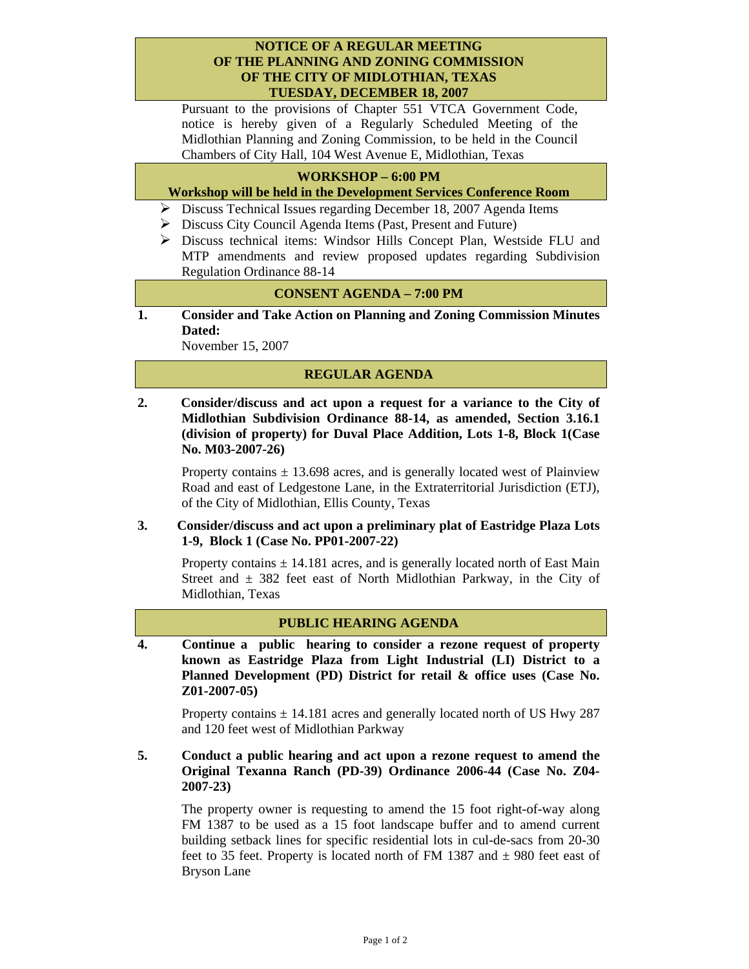## **NOTICE OF A REGULAR MEETING OF THE PLANNING AND ZONING COMMISSION OF THE CITY OF MIDLOTHIAN, TEXAS TUESDAY, DECEMBER 18, 2007**

Pursuant to the provisions of Chapter 551 VTCA Government Code, notice is hereby given of a Regularly Scheduled Meeting of the Midlothian Planning and Zoning Commission, to be held in the Council Chambers of City Hall, 104 West Avenue E, Midlothian, Texas

# **WORKSHOP – 6:00 PM**

## **Workshop will be held in the Development Services Conference Room**

- ¾ Discuss Technical Issues regarding December 18, 2007 Agenda Items
- ¾ Discuss City Council Agenda Items (Past, Present and Future)
- ¾ Discuss technical items: Windsor Hills Concept Plan, Westside FLU and MTP amendments and review proposed updates regarding Subdivision Regulation Ordinance 88-14

## **CONSENT AGENDA – 7:00 PM**

**1. Consider and Take Action on Planning and Zoning Commission Minutes Dated:** 

November 15, 2007

### **REGULAR AGENDA**

**2. Consider/discuss and act upon a request for a variance to the City of Midlothian Subdivision Ordinance 88-14, as amended, Section 3.16.1 (division of property) for Duval Place Addition, Lots 1-8, Block 1(Case No. M03-2007-26)** 

Property contains  $\pm$  13.698 acres, and is generally located west of Plainview Road and east of Ledgestone Lane, in the Extraterritorial Jurisdiction (ETJ), of the City of Midlothian, Ellis County, Texas

### **3. Consider/discuss and act upon a preliminary plat of Eastridge Plaza Lots 1-9, Block 1 (Case No. PP01-2007-22)**

Property contains  $\pm$  14.181 acres, and is generally located north of East Main Street and  $\pm$  382 feet east of North Midlothian Parkway, in the City of Midlothian, Texas

### **PUBLIC HEARING AGENDA**

**4. Continue a public hearing to consider a rezone request of property known as Eastridge Plaza from Light Industrial (LI) District to a Planned Development (PD) District for retail & office uses (Case No. Z01-2007-05)** 

Property contains  $\pm$  14.181 acres and generally located north of US Hwy 287 and 120 feet west of Midlothian Parkway

## **5. Conduct a public hearing and act upon a rezone request to amend the Original Texanna Ranch (PD-39) Ordinance 2006-44 (Case No. Z04- 2007-23)**

The property owner is requesting to amend the 15 foot right-of-way along FM 1387 to be used as a 15 foot landscape buffer and to amend current building setback lines for specific residential lots in cul-de-sacs from 20-30 feet to 35 feet. Property is located north of FM 1387 and  $\pm$  980 feet east of Bryson Lane